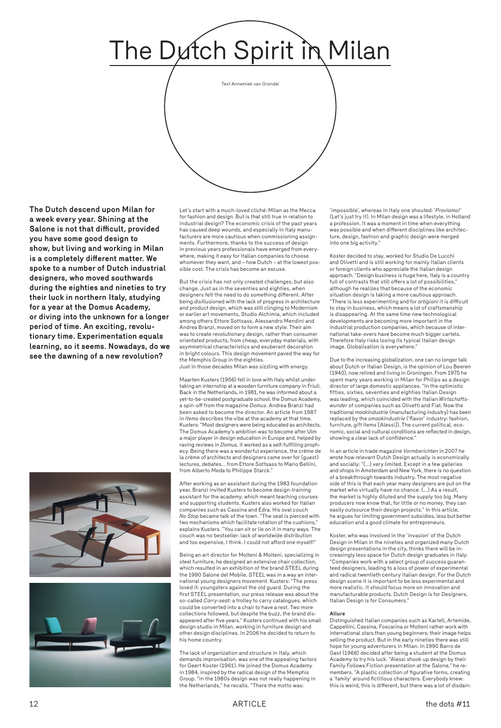12 ARTICLE the dots #11



**The Dutch descend upon Milan for a week every year. Shining at the Salone is not that difficult, provided you have some good design to show, but living and working in Milan is a completely different matter. We spoke to a number of Dutch industrial designers, who moved southwards during the eighties and nineties to try their luck in northern Italy, studying for a year at the Domus Academy, or diving into the unknown for a longer period of time. An exciting, revolutionary time. Experimentation equals learning, so it seems. Nowadays, do we see the dawning of a new revolution?**



Let's start with a much-loved cliché: Milan as the Mecca for fashion and design. But is that still true in relation to industrial design? The economic crisis of the past years has caused deep wounds, and especially in Italy manufacturers are more cautious when commissioning assignments. Furthermore, thanks to the success of design in previous years professionals have emerged from everywhere, making it easy for Italian companies to choose whomever they want, and – how Dutch – at the lowest possible cost. The crisis has become an excuse.

But the crisis has not only created challenges, but also change. Just as in the seventies and eighties, when designers felt the need to do something different. After being disillusioned with the lack of progress in architecture and product design, which was still clinging to Modernism or earlier art movements, Studio Alchimia, which included among others Ettore Sottsass, Alessandro Mendini and Andrea Branzi, moved on to form a new style. Their aim was to create revolutionary design, rather than consumer orientated products, from cheap, everyday materials, with asymmetrical characteristics and exuberant decoration in bright colours. This design movement paved the way for the Memphis Group in the eighties.

Just in those decades Milan was sizzling with energy.

Maarten Kusters (1956) fell in love with Italy whilst undertaking an internship at a wooden furniture company in Friuli. Back in the Netherlands, in 1981, he was informed about a yet-to-be-created postgraduate school: the Domus Academy, a spin-off from the magazine *Domus*. Andrea Branzi had been asked to become the director. An article from 1987 in *Items* describes the vibe at the academy at that time. Kusters: "Most designers were being educated as architects. The Domus Academy's ambition was to become after Ulm a major player in design education in Europe and, helped by raving reviews in *Domus,* it worked as a self-fulfilling prophecy. Being there was a wonderful experience, the crème de la crème of architects and designers came over for (guest) lectures, debates… from Ettore Sottsass to Mario Bellini, from Alberto Meda to Philippe Starck."

After working as an assistant during the 1983 foundation year, Branzi invited Kusters to become design-training assistant for the academy, which meant teaching courses and supporting students. Kusters also worked for Italian companies such as Cassina and Edra. His oval couch *No Stop* became talk of the town. "The seat is pierced with two mechanisms which facilitate rotation of the cushions," explains Kusters. "You can sit or lie on it in many ways. The couch was no bestseller: lack of worldwide distribution and too expensive, I think. I could not afford one myself!"

Being an art director for Molteni & Molteni, specializing in steel furniture, he designed an extensive chair collection, which resulted in an exhibition of the brand STEEL during the 1990 Salone del Mobile. STEEL was in a way an international young designers movement. Kusters: "The press loved it: youngsters against the old guard. During the first STEEL presentation, our press release was about the so-called *Carry-seat:* a trolley to carry catalogues, which could be converted into a chair to have a rest. Two more collections followed, but despite the buzz, the brand disappeared after five years." Kusters continued with his small design studio in Milan, working in furniture design and other design disciplines. In 2006 he decided to return to his home country.

The lack of organization and structure in Italy, which demands improvisation, was one of the appealing factors for Geert Koster (1961). He joined the Domus Academy in 1984, inspired by the radical design of the Memphis Group. "In the 1980s design was not really happening in the Netherlands," he recalls. "There the motto was:

'impossible', whereas in Italy one shouted: '*Proviamo!*' (Let's just try it). In Milan design was a lifestyle, in Holland a profession. It was a moment in time when everything was possible and when different disciplines like architecture, design, fashion and graphic design were merged into one big activity."

Koster decided to stay, worked for Studio De Lucchi and Olivetti and is still working for mainly Italian clients or foreign clients who appreciate the Italian design approach. "Design business is huge here, Italy is a country full of contrasts that still offers a lot of possibilities," although he realizes that because of the economic situation design is taking a more cautious approach. "There is less experimenting and for *artigiani* it is difficult to stay in business, which means a lot of craftsmanship is disappearing. At the same time new technological developments are becoming more important in the industrial production companies, which because of international take-overs have become much bigger cartels. Therefore Italy risks losing its typical Italian design image. Globalisation is everywhere."

Due to the increasing globalization, one can no longer talk about Dutch or Italian Design, is the opinion of Lou Beeren (1940), now retired and living in Groningen. From 1975 he spent many years working in Milan for Philips as a design director of large domestic appliances. "In the optimistic fifties, sixties, seventies and eighties Italian Design was leading, which coincided with the Italian *Wirtschaftswunder* of companies such as Olivetti and Fiat. Now the traditional *maakindustrie* (manufacturing industry) has been replaced by the *smaakindustrie* ('flavor' industry: fashion, furniture, gift items [Alessi]). The current political, economic, social and cultural conditions are reflected in design, showing a clear lack of confidence."

In an article in trade magazine *Vormberichten* in 2007 he wrote how relevant Dutch Design actually is economically and socially: "(…) very limited. Except in a few galleries and shops in Amsterdam and New York, there is no question of a breakthrough towards industry. The most negative side of this is that each year many designers are put on the market who virtually have no chance. (...) As a result, the market is highly diluted and the supply too big. Many producers now know that, for little or no money, they can easily outsource their design projects." In this article, he argues for limiting government subsidies, less but better education and a good climate for entrepreneurs.

Koster, who was involved in the 'invasion' of the Dutch Design in Milan in the nineties and organized many Dutch design presentations in the city, thinks there will be increasingly less space for Dutch design graduates in Italy. "Companies work with a select group of success guaranteed designers, leading to a loss of power of experimental and radical twentieth century Italian design. For the Dutch design scene it is important to be less experimental and more realistic. It should focus more on innovation and manufacturable products. Dutch Design is for Designers, Italian Design is for Consumers."





## **Allure**

Distinguished Italian companies such as Kartell, Artemide, Cappellini, Cassina, Foscarina or Molteni rather work with international stars than young beginners; their image helps selling the product. But in the early nineties there was still hope for young adventurers in Milan. In 1990 Barro de Gast (1966) decided after being a student at the Domus Academy to try his luck. "Alessi shook up design by their Family Follows Fiction presentation at the Salone," he remembers. "A plastic collection of figurative forms, creating a 'family' around fictitious characters. Everybody knew: this is weird, this is different, but there was a lot of disdain: